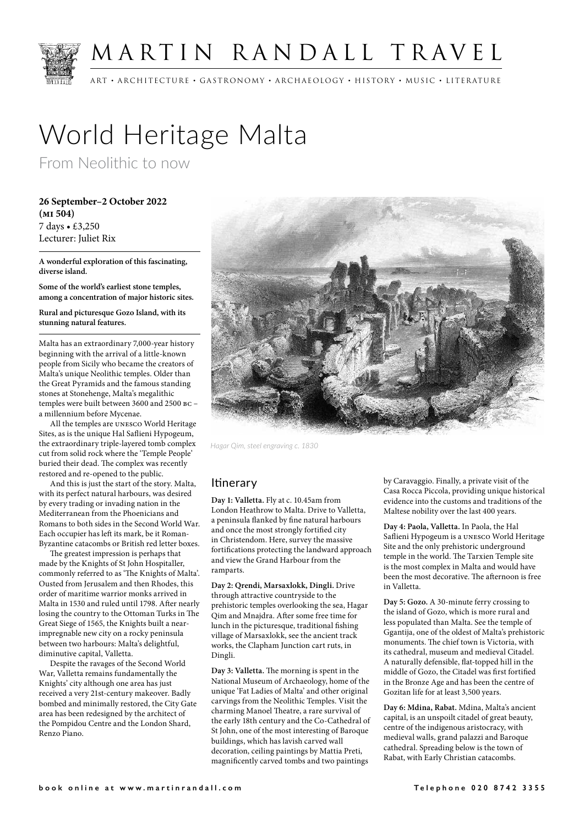

## MARTIN RANDALL TRAVEL

ART • ARCHITECTURE • GASTRONOMY • ARCHAEOLOGY • HISTORY • MUSIC • LITERATURE

# World Heritage Malta

From Neolithic to now

**26 September–2 October 2022 (mi 504)** 7 days • £3,250 Lecturer: Juliet Rix

**A wonderful exploration of this fascinating, diverse island.**

**Some of the world's earliest stone temples, among a concentration of major historic sites.**

**Rural and picturesque Gozo Island, with its stunning natural features.**

Malta has an extraordinary 7,000-year history beginning with the arrival of a little-known people from Sicily who became the creators of Malta's unique Neolithic temples. Older than the Great Pyramids and the famous standing stones at Stonehenge, Malta's megalithic temples were built between 3600 and 2500 bc – a millennium before Mycenae.

All the temples are unesco World Heritage Sites, as is the unique Hal Saflieni Hypogeum, the extraordinary triple-layered tomb complex cut from solid rock where the 'Temple People' buried their dead. The complex was recently restored and re-opened to the public.

And this is just the start of the story. Malta, with its perfect natural harbours, was desired by every trading or invading nation in the Mediterranean from the Phoenicians and Romans to both sides in the Second World War. Each occupier has left its mark, be it Roman-Byzantine catacombs or British red letter boxes.

The greatest impression is perhaps that made by the Knights of St John Hospitaller, commonly referred to as 'The Knights of Malta'. Ousted from Jerusalem and then Rhodes, this order of maritime warrior monks arrived in Malta in 1530 and ruled until 1798. After nearly losing the country to the Ottoman Turks in The Great Siege of 1565, the Knights built a nearimpregnable new city on a rocky peninsula between two harbours: Malta's delightful, diminutive capital, Valletta.

Despite the ravages of the Second World War, Valletta remains fundamentally the Knights' city although one area has just received a very 21st-century makeover. Badly bombed and minimally restored, the City Gate area has been redesigned by the architect of the Pompidou Centre and the London Shard, Renzo Piano.



*Hagar Qim, steel engraving c. 1830*

#### **Itinerary**

**Day 1: Valletta.** Fly at c. 10.45am from London Heathrow to Malta. Drive to Valletta, a peninsula flanked by fine natural harbours and once the most strongly fortified city in Christendom. Here, survey the massive fortifications protecting the landward approach and view the Grand Harbour from the ramparts.

**Day 2: Qrendi, Marsaxlokk, Dingli.** Drive through attractive countryside to the prehistoric temples overlooking the sea, Hagar Qim and Mnajdra. After some free time for lunch in the picturesque, traditional fishing village of Marsaxlokk, see the ancient track works, the Clapham Junction cart ruts, in Dingli.

**Day 3: Valletta.** The morning is spent in the National Museum of Archaeology, home of the unique 'Fat Ladies of Malta' and other original carvings from the Neolithic Temples. Visit the charming Manoel Theatre, a rare survival of the early 18th century and the Co-Cathedral of St John, one of the most interesting of Baroque buildings, which has lavish carved wall decoration, ceiling paintings by Mattia Preti, magnificently carved tombs and two paintings

by Caravaggio. Finally, a private visit of the Casa Rocca Piccola, providing unique historical evidence into the customs and traditions of the Maltese nobility over the last 400 years.

**Day 4: Paola, Valletta.** In Paola, the Hal Saflieni Hypogeum is a unesco World Heritage Site and the only prehistoric underground temple in the world. The Tarxien Temple site is the most complex in Malta and would have been the most decorative. The afternoon is free in Valletta.

**Day 5: Gozo.** A 30-minute ferry crossing to the island of Gozo, which is more rural and less populated than Malta. See the temple of Ggantija, one of the oldest of Malta's prehistoric monuments. The chief town is Victoria, with its cathedral, museum and medieval Citadel. A naturally defensible, flat-topped hill in the middle of Gozo, the Citadel was first fortified in the Bronze Age and has been the centre of Gozitan life for at least 3,500 years.

**Day 6: Mdina, Rabat.** Mdina, Malta's ancient capital, is an unspoilt citadel of great beauty, centre of the indigenous aristocracy, with medieval walls, grand palazzi and Baroque cathedral. Spreading below is the town of Rabat, with Early Christian catacombs.